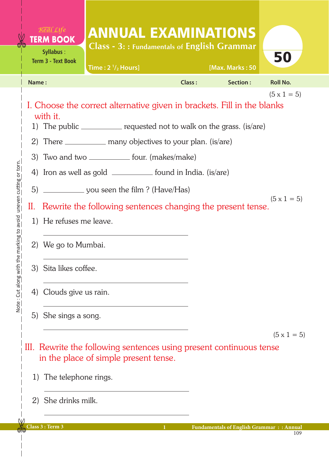|                                                                         |       | <b>TERM BOOK</b><br><b>Syllabus:</b><br><b>Term 3 - Text Book</b>                                                                                                                                                                                                                                                                                                                                                                                                                             | <b>ANNUAL EXAMINATIONS</b><br>Class - 3:: Fundamentals of English Grammar<br>Time: $2\frac{1}{2}$ Hours] |                    |  | [Max. Marks: 50                                 | 50              |  |  |
|-------------------------------------------------------------------------|-------|-----------------------------------------------------------------------------------------------------------------------------------------------------------------------------------------------------------------------------------------------------------------------------------------------------------------------------------------------------------------------------------------------------------------------------------------------------------------------------------------------|----------------------------------------------------------------------------------------------------------|--------------------|--|-------------------------------------------------|-----------------|--|--|
|                                                                         | Name: |                                                                                                                                                                                                                                                                                                                                                                                                                                                                                               |                                                                                                          | Class:             |  | Section:                                        | <b>Roll No.</b> |  |  |
| uneven cutting or torn.<br>the marking to avoid<br>Note: Cut along with | 5)    | $(5 \times 1 = 5)$<br>I. Choose the correct alternative given in brackets. Fill in the blanks<br>with it.<br>1) The public ___________ requested not to walk on the grass. (is/are)<br>2) There _____________ many objectives to your plan. (is/are)<br>3) Two and two _____________ four. (makes/make)<br>4) Iron as well as gold _____________ found in India. (is/are)<br>$(5 \times 1 = 5)$<br>II. Rewrite the following sentences changing the present tense.<br>1) He refuses me leave. |                                                                                                          |                    |  |                                                 |                 |  |  |
|                                                                         |       | 2) We go to Mumbai.<br>3) Sita likes coffee.                                                                                                                                                                                                                                                                                                                                                                                                                                                  |                                                                                                          |                    |  |                                                 |                 |  |  |
|                                                                         |       |                                                                                                                                                                                                                                                                                                                                                                                                                                                                                               |                                                                                                          |                    |  |                                                 |                 |  |  |
|                                                                         |       | 4) Clouds give us rain.                                                                                                                                                                                                                                                                                                                                                                                                                                                                       |                                                                                                          |                    |  |                                                 |                 |  |  |
|                                                                         |       | 5) She sings a song.                                                                                                                                                                                                                                                                                                                                                                                                                                                                          |                                                                                                          |                    |  |                                                 |                 |  |  |
|                                                                         | 1)    | in the place of simple present tense.<br>The telephone rings.<br>2) She drinks milk.                                                                                                                                                                                                                                                                                                                                                                                                          | III. Rewrite the following sentences using present continuous tense                                      | $(5 \times 1 = 5)$ |  |                                                 |                 |  |  |
|                                                                         |       | Class 3 : Term 3                                                                                                                                                                                                                                                                                                                                                                                                                                                                              |                                                                                                          |                    |  | <b>Fundamentals of English Grammar:: Annual</b> | 109             |  |  |

 $\overline{\phantom{a}}$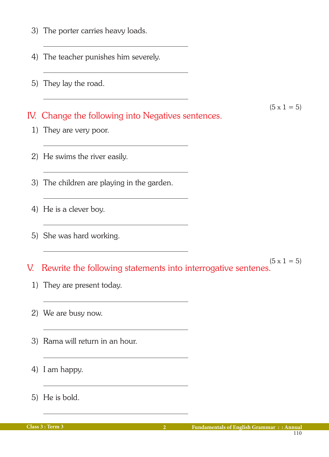- 3) The porter carries heavy loads.
- 4) The teacher punishes him severely.
- 5) They lay the road.

IV. Change the following into Negatives sentences.

- 1) They are very poor.
- 2) He swims the river easily.
- 3) The children are playing in the garden.
- 4) He is a clever boy.
- 5) She was hard working.
- $(5 \times 1 = 5)$ V. Rewrite the following statements into interrogative sentenes.
	- 1) They are present today.
	- 2) We are busy now.
	- 3) Rama will return in an hour.
	- 4) I am happy.
	- 5) He is bold.

 $(5 \times 1 = 5)$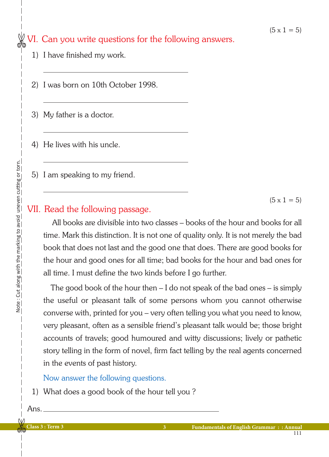## VI. Can you write questions for the following answers.

- 1) I have finished my work.
- 2) I was born on 10th October 1998.
- 3) My father is a doctor.
- 4) He lives with his uncle.
- 5) I am speaking to my friend.

 $(5 \times 1 = 5)$ 

## VII. Read the following passage.

 All books are divisible into two classes – books of the hour and books for all time. Mark this distinction. It is not one of quality only. It is not merely the bad book that does not last and the good one that does. There are good books for the hour and good ones for all time; bad books for the hour and bad ones for all time. I must define the two kinds before I go further.

 The good book of the hour then – I do not speak of the bad ones – is simply the useful or pleasant talk of some persons whom you cannot otherwise converse with, printed for you – very often telling you what you need to know, very pleasant, often as a sensible friend's pleasant talk would be; those bright accounts of travels; good humoured and witty discussions; lively or pathetic story telling in the form of novel, firm fact telling by the real agents concerned in the events of past history.

## Now answer the following questions.

1) What does a good book of the hour tell you ?

Ans.